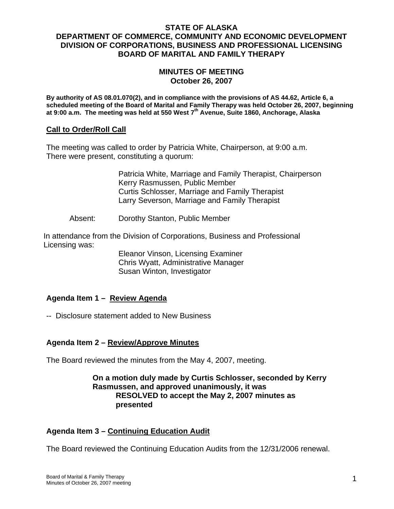### **STATE OF ALASKA DEPARTMENT OF COMMERCE, COMMUNITY AND ECONOMIC DEVELOPMENT DIVISION OF CORPORATIONS, BUSINESS AND PROFESSIONAL LICENSING BOARD OF MARITAL AND FAMILY THERAPY**

## **MINUTES OF MEETING October 26, 2007**

**By authority of AS 08.01.070(2), and in compliance with the provisions of AS 44.62, Article 6, a scheduled meeting of the Board of Marital and Family Therapy was held October 26, 2007, beginning at 9:00 a.m. The meeting was held at 550 West 7th Avenue, Suite 1860, Anchorage, Alaska** 

## **Call to Order/Roll Call**

The meeting was called to order by Patricia White, Chairperson, at 9:00 a.m. There were present, constituting a quorum:

> Patricia White, Marriage and Family Therapist, Chairperson Kerry Rasmussen, Public Member Curtis Schlosser, Marriage and Family Therapist Larry Severson, Marriage and Family Therapist

Absent: Dorothy Stanton, Public Member

In attendance from the Division of Corporations, Business and Professional Licensing was:

> Eleanor Vinson, Licensing Examiner Chris Wyatt, Administrative Manager Susan Winton, Investigator

# **Agenda Item 1 – Review Agenda**

-- Disclosure statement added to New Business

# **Agenda Item 2 – Review/Approve Minutes**

The Board reviewed the minutes from the May 4, 2007, meeting.

## **On a motion duly made by Curtis Schlosser, seconded by Kerry Rasmussen, and approved unanimously, it was RESOLVED to accept the May 2, 2007 minutes as presented**

# **Agenda Item 3 – Continuing Education Audit**

The Board reviewed the Continuing Education Audits from the 12/31/2006 renewal.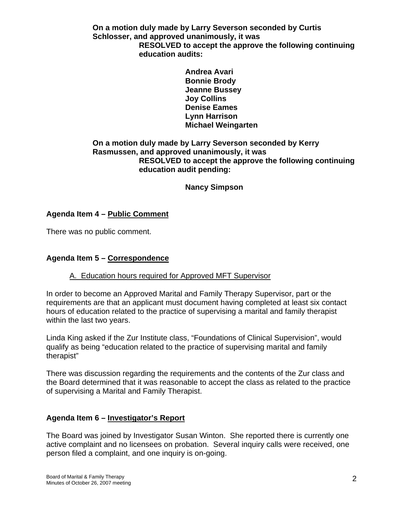**On a motion duly made by Larry Severson seconded by Curtis Schlosser, and approved unanimously, it was RESOLVED to accept the approve the following continuing education audits:** 

> **Andrea Avari Bonnie Brody Jeanne Bussey Joy Collins Denise Eames Lynn Harrison Michael Weingarten**

## **On a motion duly made by Larry Severson seconded by Kerry Rasmussen, and approved unanimously, it was RESOLVED to accept the approve the following continuing education audit pending:**

 **Nancy Simpson**

# **Agenda Item 4 – Public Comment**

There was no public comment.

# **Agenda Item 5 – Correspondence**

# A. Education hours required for Approved MFT Supervisor

In order to become an Approved Marital and Family Therapy Supervisor, part or the requirements are that an applicant must document having completed at least six contact hours of education related to the practice of supervising a marital and family therapist within the last two years.

Linda King asked if the Zur Institute class, "Foundations of Clinical Supervision", would qualify as being "education related to the practice of supervising marital and family therapist"

There was discussion regarding the requirements and the contents of the Zur class and the Board determined that it was reasonable to accept the class as related to the practice of supervising a Marital and Family Therapist.

# **Agenda Item 6 – Investigator's Report**

The Board was joined by Investigator Susan Winton. She reported there is currently one active complaint and no licensees on probation. Several inquiry calls were received, one person filed a complaint, and one inquiry is on-going.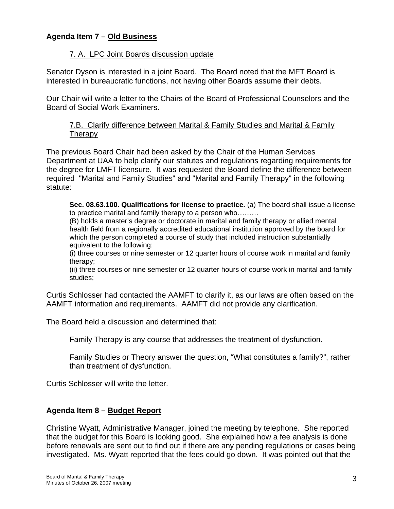# **Agenda Item 7 – Old Business**

## 7. A. LPC Joint Boards discussion update

Senator Dyson is interested in a joint Board. The Board noted that the MFT Board is interested in bureaucratic functions, not having other Boards assume their debts.

Our Chair will write a letter to the Chairs of the Board of Professional Counselors and the Board of Social Work Examiners.

## 7.B. Clarify difference between Marital & Family Studies and Marital & Family **Therapy**

The previous Board Chair had been asked by the Chair of the Human Services Department at UAA to help clarify our statutes and regulations regarding requirements for the degree for LMFT licensure. It was requested the Board define the difference between required "Marital and Family Studies" and "Marital and Family Therapy" in the following statute:

**Sec. 08.63.100. Qualifications for license to practice.** (a) The board shall issue a license to practice marital and family therapy to a person who………

(B) holds a master's degree or doctorate in marital and family therapy or allied mental health field from a regionally accredited educational institution approved by the board for which the person completed a course of study that included instruction substantially equivalent to the following:

(i) three courses or nine semester or 12 quarter hours of course work in marital and family therapy;

(ii) three courses or nine semester or 12 quarter hours of course work in marital and family studies;

Curtis Schlosser had contacted the AAMFT to clarify it, as our laws are often based on the AAMFT information and requirements. AAMFT did not provide any clarification.

The Board held a discussion and determined that:

Family Therapy is any course that addresses the treatment of dysfunction.

Family Studies or Theory answer the question, "What constitutes a family?", rather than treatment of dysfunction.

Curtis Schlosser will write the letter.

# **Agenda Item 8 – Budget Report**

Christine Wyatt, Administrative Manager, joined the meeting by telephone. She reported that the budget for this Board is looking good. She explained how a fee analysis is done before renewals are sent out to find out if there are any pending regulations or cases being investigated. Ms. Wyatt reported that the fees could go down. It was pointed out that the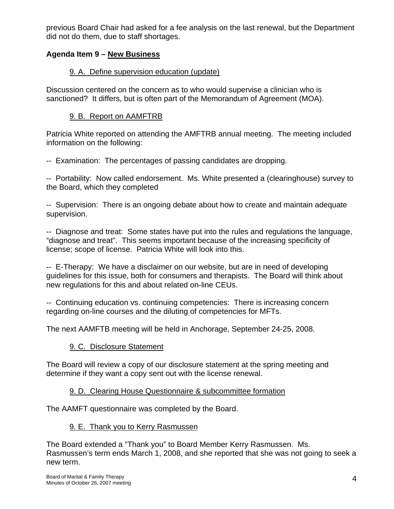previous Board Chair had asked for a fee analysis on the last renewal, but the Department did not do them, due to staff shortages.

# **Agenda Item 9 – New Business**

# 9. A. Define supervision education (update)

Discussion centered on the concern as to who would supervise a clinician who is sanctioned? It differs, but is often part of the Memorandum of Agreement (MOA).

# 9. B. Report on AAMFTRB

Patricia White reported on attending the AMFTRB annual meeting. The meeting included information on the following:

-- Examination: The percentages of passing candidates are dropping.

-- Portability: Now called endorsement. Ms. White presented a (clearinghouse) survey to the Board, which they completed

-- Supervision: There is an ongoing debate about how to create and maintain adequate supervision.

-- Diagnose and treat: Some states have put into the rules and regulations the language, "diagnose and treat". This seems important because of the increasing specificity of license; scope of license. Patricia White will look into this.

-- E-Therapy: We have a disclaimer on our website, but are in need of developing guidelines for this issue, both for consumers and therapists. The Board will think about new regulations for this and about related on-line CEUs.

-- Continuing education vs. continuing competencies: There is increasing concern regarding on-line courses and the diluting of competencies for MFTs.

The next AAMFTB meeting will be held in Anchorage, September 24-25, 2008.

# 9. C. Disclosure Statement

The Board will review a copy of our disclosure statement at the spring meeting and determine if they want a copy sent out with the license renewal.

# 9. D. Clearing House Questionnaire & subcommittee formation

The AAMFT questionnaire was completed by the Board.

# 9. E. Thank you to Kerry Rasmussen

The Board extended a "Thank you" to Board Member Kerry Rasmussen. Ms. Rasmussen's term ends March 1, 2008, and she reported that she was not going to seek a new term.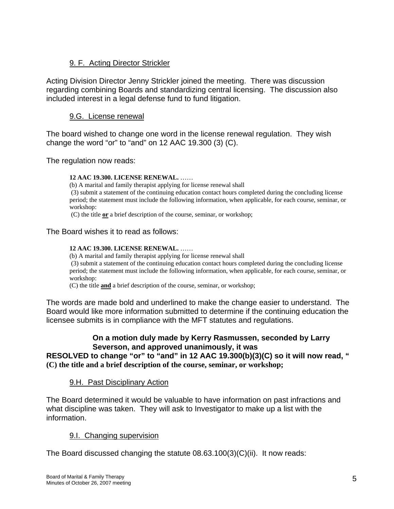# 9. F. Acting Director Strickler

Acting Division Director Jenny Strickler joined the meeting. There was discussion regarding combining Boards and standardizing central licensing. The discussion also included interest in a legal defense fund to fund litigation.

## 9.G. License renewal

The board wished to change one word in the license renewal regulation. They wish change the word "or" to "and" on 12 AAC 19.300 (3) (C).

The regulation now reads:

#### **12 AAC 19.300. LICENSE RENEWAL.** ……

(b) A marital and family therapist applying for license renewal shall

 (3) submit a statement of the continuing education contact hours completed during the concluding license period; the statement must include the following information, when applicable, for each course, seminar, or workshop:

(C) the title **or** a brief description of the course, seminar, or workshop;

#### The Board wishes it to read as follows:

#### **12 AAC 19.300. LICENSE RENEWAL.** ……

(b) A marital and family therapist applying for license renewal shall (3) submit a statement of the continuing education contact hours completed during the concluding license period; the statement must include the following information, when applicable, for each course, seminar, or workshop:

(C) the title **and** a brief description of the course, seminar, or workshop;

The words are made bold and underlined to make the change easier to understand. The Board would like more information submitted to determine if the continuing education the licensee submits is in compliance with the MFT statutes and regulations.

## **On a motion duly made by Kerry Rasmussen, seconded by Larry Severson, and approved unanimously, it was**

**RESOLVED to change "or" to "and" in 12 AAC 19.300(b)(3)(C) so it will now read, " (C) the title and a brief description of the course, seminar, or workshop;** 

#### 9.H. Past Disciplinary Action

The Board determined it would be valuable to have information on past infractions and what discipline was taken. They will ask to Investigator to make up a list with the information.

## 9.I. Changing supervision

The Board discussed changing the statute  $08.63.100(3)(C)(ii)$ . It now reads: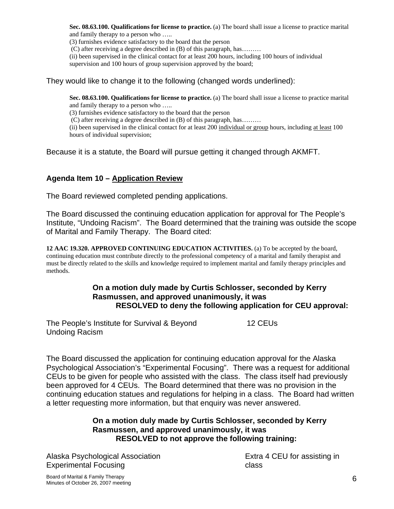**Sec. 08.63.100. Qualifications for license to practice.** (a) The board shall issue a license to practice marital and family therapy to a person who …..

(3) furnishes evidence satisfactory to the board that the person

(C) after receiving a degree described in (B) of this paragraph, has………

(ii) been supervised in the clinical contact for at least 200 hours, including 100 hours of individual supervision and 100 hours of group supervision approved by the board;

They would like to change it to the following (changed words underlined):

**Sec. 08.63.100. Qualifications for license to practice.** (a) The board shall issue a license to practice marital and family therapy to a person who …..

(3) furnishes evidence satisfactory to the board that the person

(C) after receiving a degree described in (B) of this paragraph, has………

(ii) been supervised in the clinical contact for at least 200 individual or group hours, including at least 100 hours of individual supervision;

Because it is a statute, the Board will pursue getting it changed through AKMFT.

## **Agenda Item 10 – Application Review**

The Board reviewed completed pending applications.

The Board discussed the continuing education application for approval for The People's Institute, "Undoing Racism". The Board determined that the training was outside the scope of Marital and Family Therapy. The Board cited:

**12 AAC 19.320. APPROVED CONTINUING EDUCATION ACTIVITIES.** (a) To be accepted by the board, continuing education must contribute directly to the professional competency of a marital and family therapist and must be directly related to the skills and knowledge required to implement marital and family therapy principles and methods.

### **On a motion duly made by Curtis Schlosser, seconded by Kerry Rasmussen, and approved unanimously, it was RESOLVED to deny the following application for CEU approval:**

The People's Institute for Survival & Beyond Undoing Racism 12 CEUs

The Board discussed the application for continuing education approval for the Alaska Psychological Association's "Experimental Focusing". There was a request for additional CEUs to be given for people who assisted with the class. The class itself had previously been approved for 4 CEUs. The Board determined that there was no provision in the continuing education statues and regulations for helping in a class. The Board had written a letter requesting more information, but that enquiry was never answered.

## **On a motion duly made by Curtis Schlosser, seconded by Kerry Rasmussen, and approved unanimously, it was RESOLVED to not approve the following training:**

Alaska Psychological Association Experimental Focusing

Extra 4 CEU for assisting in class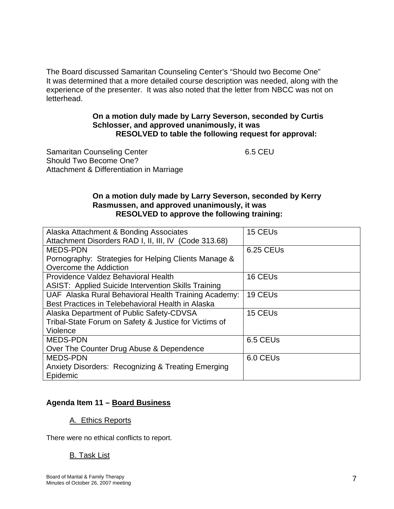The Board discussed Samaritan Counseling Center's "Should two Become One" It was determined that a more detailed course description was needed, along with the experience of the presenter. It was also noted that the letter from NBCC was not on letterhead.

## **On a motion duly made by Larry Severson, seconded by Curtis Schlosser, and approved unanimously, it was RESOLVED to table the following request for approval:**

Samaritan Counseling Center Should Two Become One? Attachment & Differentiation in Marriage 6.5 CEU

## **On a motion duly made by Larry Severson, seconded by Kerry Rasmussen, and approved unanimously, it was RESOLVED to approve the following training:**

| Alaska Attachment & Bonding Associates                        | 15 CEUs              |
|---------------------------------------------------------------|----------------------|
| Attachment Disorders RAD I, II, III, IV (Code 313.68)         |                      |
| <b>MEDS-PDN</b>                                               | 6.25 CEUs            |
| Pornography: Strategies for Helping Clients Manage &          |                      |
| Overcome the Addiction                                        |                      |
| Providence Valdez Behavioral Health                           | 16 CEU <sub>s</sub>  |
| <b>ASIST: Applied Suicide Intervention Skills Training</b>    |                      |
| UAF Alaska Rural Behavioral Health Training Academy:          | 19 CEUs              |
| Best Practices in Telebehavioral Health in Alaska             |                      |
| Alaska Department of Public Safety-CDVSA                      | 15 CEUs              |
| Tribal-State Forum on Safety & Justice for Victims of         |                      |
| Violence                                                      |                      |
| <b>MEDS-PDN</b>                                               | 6.5 CEUs             |
| Over The Counter Drug Abuse & Dependence                      |                      |
| <b>MEDS-PDN</b>                                               | 6.0 CEU <sub>s</sub> |
| <b>Anxiety Disorders: Recognizing &amp; Treating Emerging</b> |                      |
| Epidemic                                                      |                      |

# **Agenda Item 11 – Board Business**

## A. Ethics Reports

There were no ethical conflicts to report.

# B. Task List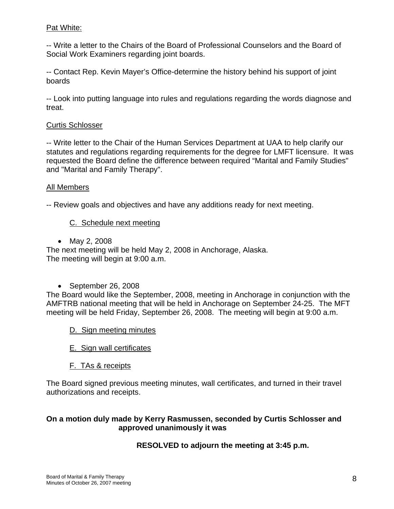## Pat White:

-- Write a letter to the Chairs of the Board of Professional Counselors and the Board of Social Work Examiners regarding joint boards.

-- Contact Rep. Kevin Mayer's Office-determine the history behind his support of joint boards

-- Look into putting language into rules and regulations regarding the words diagnose and treat.

## Curtis Schlosser

-- Write letter to the Chair of the Human Services Department at UAA to help clarify our statutes and regulations regarding requirements for the degree for LMFT licensure. It was requested the Board define the difference between required "Marital and Family Studies" and "Marital and Family Therapy".

## All Members

-- Review goals and objectives and have any additions ready for next meeting.

## C. Schedule next meeting

• May 2, 2008

The next meeting will be held May 2, 2008 in Anchorage, Alaska. The meeting will begin at 9:00 a.m.

• September 26, 2008

The Board would like the September, 2008, meeting in Anchorage in conjunction with the AMFTRB national meeting that will be held in Anchorage on September 24-25. The MFT meeting will be held Friday, September 26, 2008. The meeting will begin at 9:00 a.m.

- D. Sign meeting minutes
- E. Sign wall certificates
- F. TAs & receipts

The Board signed previous meeting minutes, wall certificates, and turned in their travel authorizations and receipts.

## **On a motion duly made by Kerry Rasmussen, seconded by Curtis Schlosser and approved unanimously it was**

## **RESOLVED to adjourn the meeting at 3:45 p.m.**